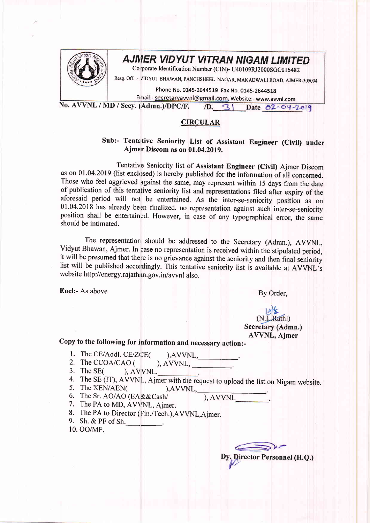

## AJMER VIDYUT VITRAN NIGAM LIMITED

Corporate Identification Number (CIN)- U40109RJ2000SGC016482

Resg. Off. :- VIDYUT BHAWAN, PANCHSHEEL NAGAR, MAKADWALI ROAD, AJMER-305004

Phone No. 0145-2644519 Fax No. 0145-2644518

Email:- secretaryavvnl@gmail.com, Website:- www.avvnl.com

No. AVVNL / MD / Secy. (Admn.)/DPC/F. /D. 31 Date 02-04-2019

## CIRCULAR

## Sub:- Tentative Seniority List of Assistant Engineer (Civil) under Ajmer Discom as on 01.04.2019.

Tentative Seniority list of Assistant Engineer (Civil) Ajmer Discom as on 01.04.2019 (list enclosed) is hereby published for the information of all concerned. Those who feel aggrieved against the same, may represent within l5 days from the date of publication of this tentative seniority list and representations filed after expiry of the aforesaid period will not be entertained. As the inter-se-seniority position as on  $01.04.2018$  has already been finalized, no representation against such inter-se-seniority position shall be entertained. However, in case of any typographical error, the same should be intimated.

The representation should be addressed to the Secretary (Admn.), AVVNL, Vidyut Bhawan, Ajmer. In case no representation is received within the stipulated period, it will be presumed that there is no grievance against the seniority and then final seniority list will be published accordingly. This tentative seniority list is available at AVVNL's website http://energy.rajathan.gov.in/avvnl also.

Encl:- As above By Order,

## (N.L.Rathi) Secretary (Admn.) AWNL, Ajmer

Copy to the following for information and necessary action:-

- 1. The CE/Addl. CE/ZCE(  $),$ AVVNL,
- 2. The CCOA/CAO (  $),$  AVVNL,  $\qquad \qquad$
- 3. The  $SE($ ,  $)$ ,  $AVVNL$ ,
- 4. The SE (IT), AVVNL, Ajmer with the request to upload the list 5. The XEN/AEN( ),AVVNL,  $\frac{1}{100}$ , AVVNL,  $\frac{1}{100}$ on Nigam website.
- 
- 6. The Sr. AO/AO (EA&&Cash/<br>7. The PA to MD, AVVNL, Ajmer.
- 
- 8. The PA to Director (Fin./Tech.),AVVNL,Ajmer.
- 9. Sh.  $&$  PF of Sh. 10. oo/MF

Dy. Director Personnel (H.Q.)